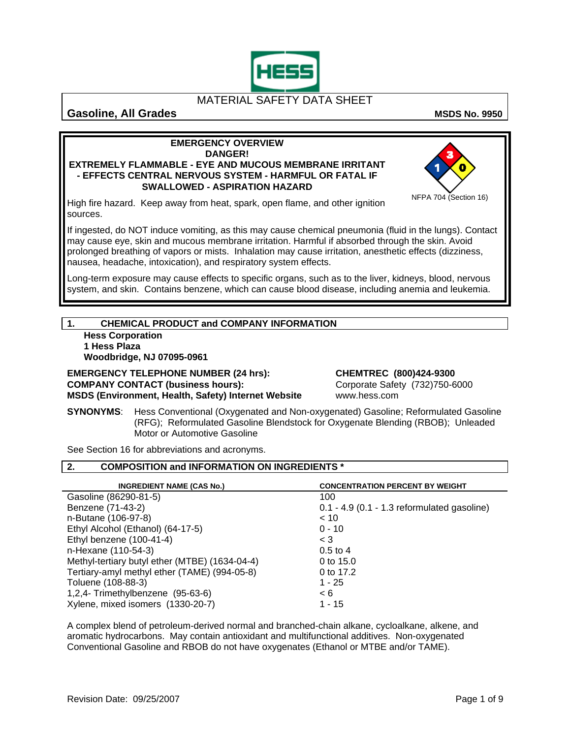

**Gasoline, All Grades MSDS No. 9950** 

#### **EMERGENCY OVERVIEW DANGER! EXTREMELY FLAMMABLE - EYE AND MUCOUS MEMBRANE IRRITANT - EFFECTS CENTRAL NERVOUS SYSTEM - HARMFUL OR FATAL IF SWALLOWED - ASPIRATION HAZARD**



High fire hazard. Keep away from heat, spark, open flame, and other ignition sources.

If ingested, do NOT induce vomiting, as this may cause chemical pneumonia (fluid in the lungs). Contact may cause eye, skin and mucous membrane irritation. Harmful if absorbed through the skin. Avoid prolonged breathing of vapors or mists. Inhalation may cause irritation, anesthetic effects (dizziness, nausea, headache, intoxication), and respiratory system effects.

Long-term exposure may cause effects to specific organs, such as to the liver, kidneys, blood, nervous system, and skin. Contains benzene, which can cause blood disease, including anemia and leukemia.

#### **1. CHEMICAL PRODUCT and COMPANY INFORMATION Hess Corporation 1 Hess Plaza Woodbridge, NJ 07095-0961**

**EMERGENCY TELEPHONE NUMBER (24 hrs): CHEMTREC (800)424-9300 COMPANY CONTACT (business hours):** Corporate Safety (732)750-6000<br> **MSDS (Environment. Health. Safety) Internet Website** www.hess.com **MSDS (Environment, Health, Safety) Internet Website** 

**SYNONYMS**: Hess Conventional (Oxygenated and Non-oxygenated) Gasoline; Reformulated Gasoline (RFG); Reformulated Gasoline Blendstock for Oxygenate Blending (RBOB); Unleaded Motor or Automotive Gasoline

See Section 16 for abbreviations and acronyms.

| 2.<br><b>COMPOSITION and INFORMATION ON INGREDIENTS *</b> |                                               |  |  |
|-----------------------------------------------------------|-----------------------------------------------|--|--|
| <b>INGREDIENT NAME (CAS No.)</b>                          | <b>CONCENTRATION PERCENT BY WEIGHT</b>        |  |  |
| Gasoline (86290-81-5)                                     | 100                                           |  |  |
| Benzene (71-43-2)                                         | $0.1 - 4.9$ (0.1 - 1.3 reformulated gasoline) |  |  |
| n-Butane (106-97-8)                                       | $~<$ 10                                       |  |  |
| Ethyl Alcohol (Ethanol) (64-17-5)                         | $0 - 10$                                      |  |  |
| Ethyl benzene (100-41-4)                                  | $\leq 3$                                      |  |  |
| n-Hexane (110-54-3)                                       | $0.5 \text{ to } 4$                           |  |  |
| Methyl-tertiary butyl ether (MTBE) (1634-04-4)            | 0 to 15.0                                     |  |  |
| Tertiary-amyl methyl ether (TAME) (994-05-8)              | 0 to 17.2                                     |  |  |
| Toluene (108-88-3)                                        | $1 - 25$                                      |  |  |
| 1,2,4- Trimethylbenzene (95-63-6)                         | < 6                                           |  |  |
| Xylene, mixed isomers (1330-20-7)                         | 1 - 15                                        |  |  |

A complex blend of petroleum-derived normal and branched-chain alkane, cycloalkane, alkene, and aromatic hydrocarbons. May contain antioxidant and multifunctional additives. Non-oxygenated Conventional Gasoline and RBOB do not have oxygenates (Ethanol or MTBE and/or TAME).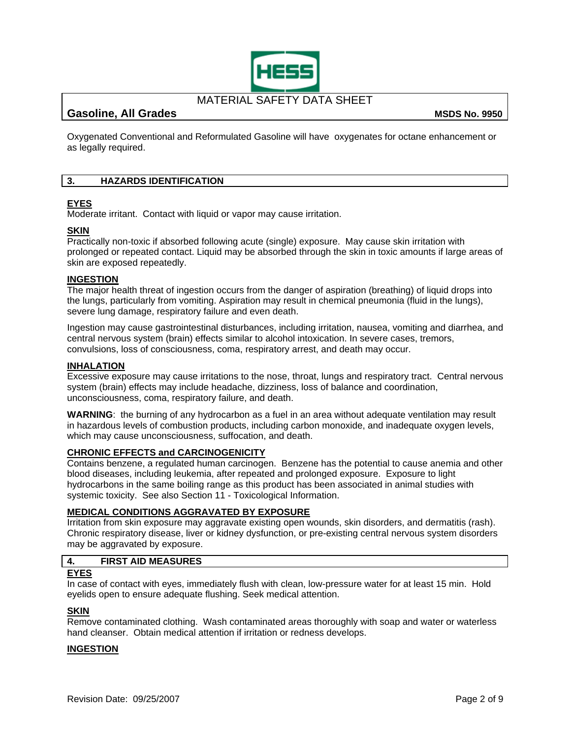

### **Gasoline, All Grades MSDS No. 9950**

Oxygenated Conventional and Reformulated Gasoline will have oxygenates for octane enhancement or as legally required.

#### **3. HAZARDS IDENTIFICATION**

#### **EYES**

Moderate irritant. Contact with liquid or vapor may cause irritation.

#### **SKIN**

Practically non-toxic if absorbed following acute (single) exposure. May cause skin irritation with prolonged or repeated contact. Liquid may be absorbed through the skin in toxic amounts if large areas of skin are exposed repeatedly.

#### **INGESTION**

The major health threat of ingestion occurs from the danger of aspiration (breathing) of liquid drops into the lungs, particularly from vomiting. Aspiration may result in chemical pneumonia (fluid in the lungs), severe lung damage, respiratory failure and even death.

Ingestion may cause gastrointestinal disturbances, including irritation, nausea, vomiting and diarrhea, and central nervous system (brain) effects similar to alcohol intoxication. In severe cases, tremors, convulsions, loss of consciousness, coma, respiratory arrest, and death may occur.

#### **INHALATION**

Excessive exposure may cause irritations to the nose, throat, lungs and respiratory tract. Central nervous system (brain) effects may include headache, dizziness, loss of balance and coordination, unconsciousness, coma, respiratory failure, and death.

**WARNING**: the burning of any hydrocarbon as a fuel in an area without adequate ventilation may result in hazardous levels of combustion products, including carbon monoxide, and inadequate oxygen levels, which may cause unconsciousness, suffocation, and death.

#### **CHRONIC EFFECTS and CARCINOGENICITY**

Contains benzene, a regulated human carcinogen. Benzene has the potential to cause anemia and other blood diseases, including leukemia, after repeated and prolonged exposure. Exposure to light hydrocarbons in the same boiling range as this product has been associated in animal studies with systemic toxicity. See also Section 11 - Toxicological Information.

#### **MEDICAL CONDITIONS AGGRAVATED BY EXPOSURE**

Irritation from skin exposure may aggravate existing open wounds, skin disorders, and dermatitis (rash). Chronic respiratory disease, liver or kidney dysfunction, or pre-existing central nervous system disorders may be aggravated by exposure.

#### **4. FIRST AID MEASURES**

#### **EYES**

In case of contact with eyes, immediately flush with clean, low-pressure water for at least 15 min. Hold eyelids open to ensure adequate flushing. Seek medical attention.

#### **SKIN**

Remove contaminated clothing. Wash contaminated areas thoroughly with soap and water or waterless hand cleanser. Obtain medical attention if irritation or redness develops.

#### **INGESTION**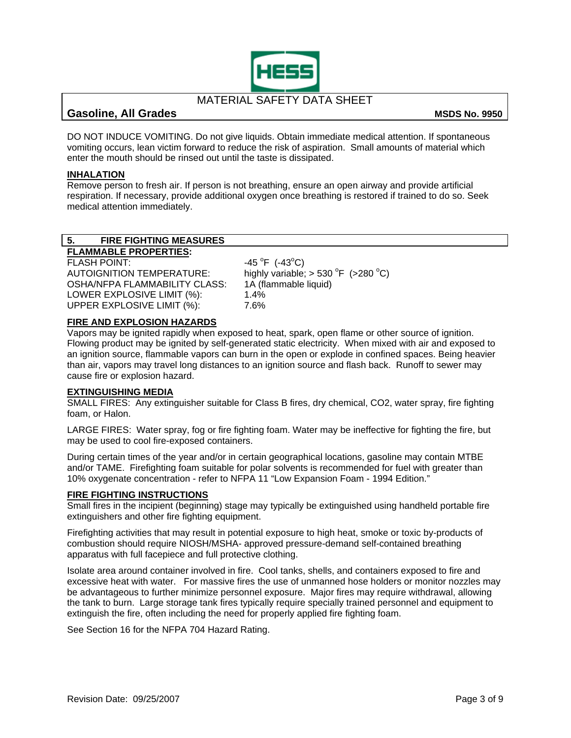

### **Gasoline, All Grades MSDS No. 9950**

DO NOT INDUCE VOMITING. Do not give liquids. Obtain immediate medical attention. If spontaneous vomiting occurs, lean victim forward to reduce the risk of aspiration. Small amounts of material which enter the mouth should be rinsed out until the taste is dissipated.

#### **INHALATION**

Remove person to fresh air. If person is not breathing, ensure an open airway and provide artificial respiration. If necessary, provide additional oxygen once breathing is restored if trained to do so. Seek medical attention immediately.

#### **5. FIRE FIGHTING MEASURES FLAMMABLE PROPERTIES:**

**FLASH POINT:** AUTOIGNITION TEMPERATURE: OSHA/NFPA FLAMMABILITY CLASS: 1A (flammable liquid) LOWER EXPLOSIVE LIMIT (%): 1.4% UPPER EXPLOSIVE LIMIT (%): 7.6%

 $F$  (-43 $^{\circ}$ C)  $F$  (>280 °C)

#### **FIRE AND EXPLOSION HAZARDS**

Vapors may be ignited rapidly when exposed to heat, spark, open flame or other source of ignition. Flowing product may be ignited by self-generated static electricity. When mixed with air and exposed to an ignition source, flammable vapors can burn in the open or explode in confined spaces. Being heavier than air, vapors may travel long distances to an ignition source and flash back. Runoff to sewer may cause fire or explosion hazard.

#### **EXTINGUISHING MEDIA**

SMALL FIRES: Any extinguisher suitable for Class B fires, dry chemical, CO2, water spray, fire fighting foam, or Halon.

LARGE FIRES: Water spray, fog or fire fighting foam. Water may be ineffective for fighting the fire, but may be used to cool fire-exposed containers.

During certain times of the year and/or in certain geographical locations, gasoline may contain MTBE and/or TAME. Firefighting foam suitable for polar solvents is recommended for fuel with greater than 10% oxygenate concentration - refer to NFPA 11 "Low Expansion Foam - 1994 Edition."

#### **FIRE FIGHTING INSTRUCTIONS**

Small fires in the incipient (beginning) stage may typically be extinguished using handheld portable fire extinguishers and other fire fighting equipment.

Firefighting activities that may result in potential exposure to high heat, smoke or toxic by-products of combustion should require NIOSH/MSHA- approved pressure-demand self-contained breathing apparatus with full facepiece and full protective clothing.

Isolate area around container involved in fire. Cool tanks, shells, and containers exposed to fire and excessive heat with water. For massive fires the use of unmanned hose holders or monitor nozzles may be advantageous to further minimize personnel exposure. Major fires may require withdrawal, allowing the tank to burn. Large storage tank fires typically require specially trained personnel and equipment to extinguish the fire, often including the need for properly applied fire fighting foam.

See Section 16 for the NFPA 704 Hazard Rating.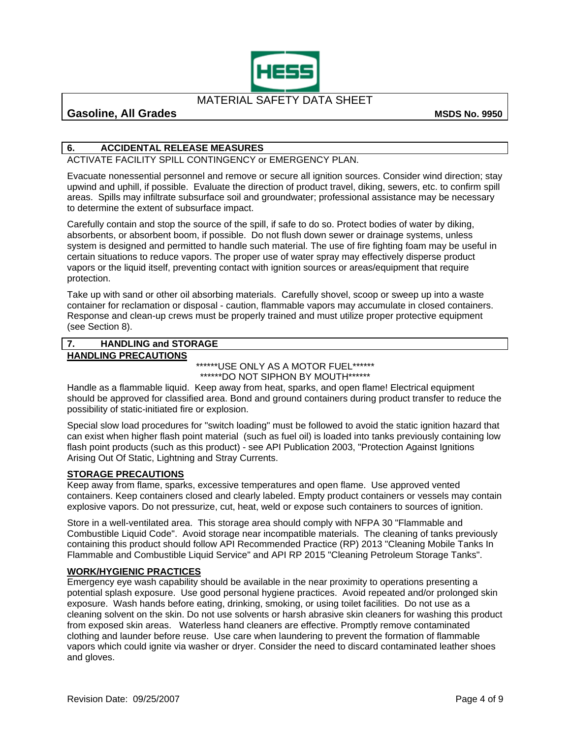

**Gasoline, All Grades** MSDS No. 9950

### **6. ACCIDENTAL RELEASE MEASURES**

ACTIVATE FACILITY SPILL CONTINGENCY or EMERGENCY PLAN.

Evacuate nonessential personnel and remove or secure all ignition sources. Consider wind direction; stay upwind and uphill, if possible. Evaluate the direction of product travel, diking, sewers, etc. to confirm spill areas. Spills may infiltrate subsurface soil and groundwater; professional assistance may be necessary to determine the extent of subsurface impact.

Carefully contain and stop the source of the spill, if safe to do so. Protect bodies of water by diking, absorbents, or absorbent boom, if possible. Do not flush down sewer or drainage systems, unless system is designed and permitted to handle such material. The use of fire fighting foam may be useful in certain situations to reduce vapors. The proper use of water spray may effectively disperse product vapors or the liquid itself, preventing contact with ignition sources or areas/equipment that require protection.

Take up with sand or other oil absorbing materials. Carefully shovel, scoop or sweep up into a waste container for reclamation or disposal - caution, flammable vapors may accumulate in closed containers. Response and clean-up crews must be properly trained and must utilize proper protective equipment (see Section 8).

#### **7. HANDLING and STORAGE HANDLING PRECAUTIONS**

\*\*\*\*\*\*USE ONLY AS A MOTOR FUEL\*\*\*\*\*\* \*\*\*\*\*\*DO NOT SIPHON BY MOUTH\*\*\*\*\*\*

Handle as a flammable liquid. Keep away from heat, sparks, and open flame! Electrical equipment should be approved for classified area. Bond and ground containers during product transfer to reduce the possibility of static-initiated fire or explosion.

Special slow load procedures for "switch loading" must be followed to avoid the static ignition hazard that can exist when higher flash point material (such as fuel oil) is loaded into tanks previously containing low flash point products (such as this product) - see API Publication 2003, "Protection Against Ignitions Arising Out Of Static, Lightning and Stray Currents.

#### **STORAGE PRECAUTIONS**

Keep away from flame, sparks, excessive temperatures and open flame. Use approved vented containers. Keep containers closed and clearly labeled. Empty product containers or vessels may contain explosive vapors. Do not pressurize, cut, heat, weld or expose such containers to sources of ignition.

Store in a well-ventilated area. This storage area should comply with NFPA 30 "Flammable and Combustible Liquid Code". Avoid storage near incompatible materials. The cleaning of tanks previously containing this product should follow API Recommended Practice (RP) 2013 "Cleaning Mobile Tanks In Flammable and Combustible Liquid Service" and API RP 2015 "Cleaning Petroleum Storage Tanks".

#### **WORK/HYGIENIC PRACTICES**

Emergency eye wash capability should be available in the near proximity to operations presenting a potential splash exposure. Use good personal hygiene practices. Avoid repeated and/or prolonged skin exposure. Wash hands before eating, drinking, smoking, or using toilet facilities. Do not use as a cleaning solvent on the skin. Do not use solvents or harsh abrasive skin cleaners for washing this product from exposed skin areas. Waterless hand cleaners are effective. Promptly remove contaminated clothing and launder before reuse. Use care when laundering to prevent the formation of flammable vapors which could ignite via washer or dryer. Consider the need to discard contaminated leather shoes and gloves.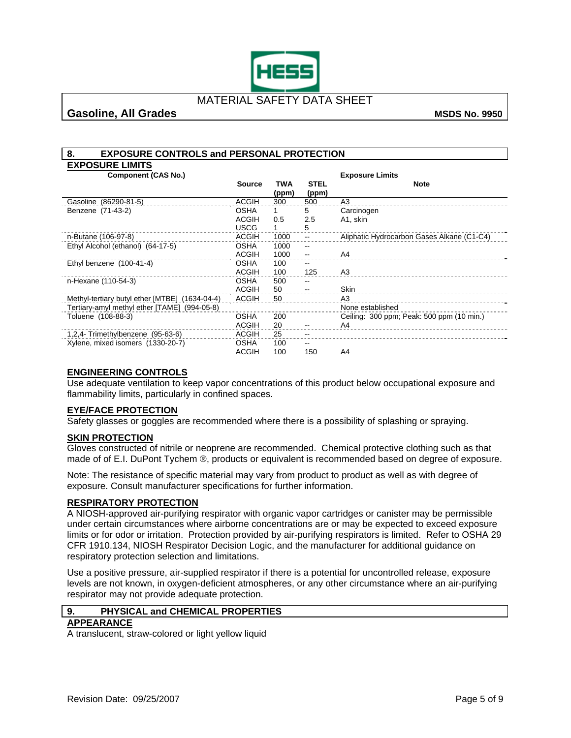

**Gasoline, All Grades** MSDS No. 9950

| 8.<br><b>EXPOSURE CONTROLS and PERSONAL PROTECTION</b> |               |              |                          |                                            |  |  |
|--------------------------------------------------------|---------------|--------------|--------------------------|--------------------------------------------|--|--|
| <b>EXPOSURE LIMITS</b>                                 |               |              |                          |                                            |  |  |
| <b>Component (CAS No.)</b>                             |               |              |                          | <b>Exposure Limits</b>                     |  |  |
|                                                        | <b>Source</b> | TWA<br>(ppm) | <b>STEL</b><br>(ppm)     | <b>Note</b>                                |  |  |
| Gasoline (86290-81-5)                                  | <b>ACGIH</b>  | 300          | 500                      | A <sub>3</sub>                             |  |  |
| Benzene (71-43-2)                                      | <b>OSHA</b>   |              | 5                        | Carcinogen                                 |  |  |
|                                                        | <b>ACGIH</b>  | 0.5          | 2.5                      | A1, skin                                   |  |  |
|                                                        | <b>USCG</b>   |              | 5                        |                                            |  |  |
| n-Butane (106-97-8)                                    | ACGIH         | 1000         | $\overline{\phantom{a}}$ | Aliphatic Hydrocarbon Gases Alkane (C1-C4) |  |  |
| Ethyl Alcohol (ethanol) (64-17-5)                      | <b>OSHA</b>   | 1000         | $\overline{\phantom{a}}$ |                                            |  |  |
|                                                        | <b>ACGIH</b>  | 1000         | $\overline{\phantom{a}}$ | A4                                         |  |  |
| Ethyl benzene $(100-41-4)$                             | <b>OSHA</b>   | 100          | $- -$                    |                                            |  |  |
|                                                        | <b>ACGIH</b>  | 100          | 125                      | A3                                         |  |  |
| n-Hexane (110-54-3)                                    | <b>OSHA</b>   | 500          | $\overline{\phantom{a}}$ |                                            |  |  |
|                                                        | <b>ACGIH</b>  | 50           |                          | Skin                                       |  |  |
| Methyl-tertiary butyl ether [MTBE] (1634-04-4)         | <b>ACGIH</b>  | 50           |                          | A <sub>3</sub>                             |  |  |
| Tertiary-amyl methyl ether [TAME] (994-05-8)           |               |              |                          | None established                           |  |  |
| Toluene (108-88-3)                                     | <b>OSHA</b>   | 200          |                          | Ceiling: 300 ppm; Peak: 500 ppm (10 min.)  |  |  |
|                                                        | <b>ACGIH</b>  | 20           |                          | A4                                         |  |  |
| $1,2,4$ - Trimethylbenzene $(95-63-6)$                 | <b>ACGIH</b>  | 25           | --                       |                                            |  |  |
| Xylene, mixed isomers (1330-20-7)                      | <b>OSHA</b>   | 100          | $\overline{\phantom{a}}$ |                                            |  |  |
|                                                        | <b>ACGIH</b>  | 100          | 150                      | A4                                         |  |  |

#### **ENGINEERING CONTROLS**

Use adequate ventilation to keep vapor concentrations of this product below occupational exposure and flammability limits, particularly in confined spaces.

#### **EYE/FACE PROTECTION**

Safety glasses or goggles are recommended where there is a possibility of splashing or spraying.

#### **SKIN PROTECTION**

Gloves constructed of nitrile or neoprene are recommended. Chemical protective clothing such as that made of of E.I. DuPont Tychem ®, products or equivalent is recommended based on degree of exposure.

Note: The resistance of specific material may vary from product to product as well as with degree of exposure. Consult manufacturer specifications for further information.

#### **RESPIRATORY PROTECTION**

A NIOSH-approved air-purifying respirator with organic vapor cartridges or canister may be permissible under certain circumstances where airborne concentrations are or may be expected to exceed exposure limits or for odor or irritation. Protection provided by air-purifying respirators is limited. Refer to OSHA 29 CFR 1910.134, NIOSH Respirator Decision Logic, and the manufacturer for additional guidance on respiratory protection selection and limitations.

Use a positive pressure, air-supplied respirator if there is a potential for uncontrolled release, exposure levels are not known, in oxygen-deficient atmospheres, or any other circumstance where an air-purifying respirator may not provide adequate protection.

### **9. PHYSICAL and CHEMICAL PROPERTIES**

### **APPEARANCE**

A translucent, straw-colored or light yellow liquid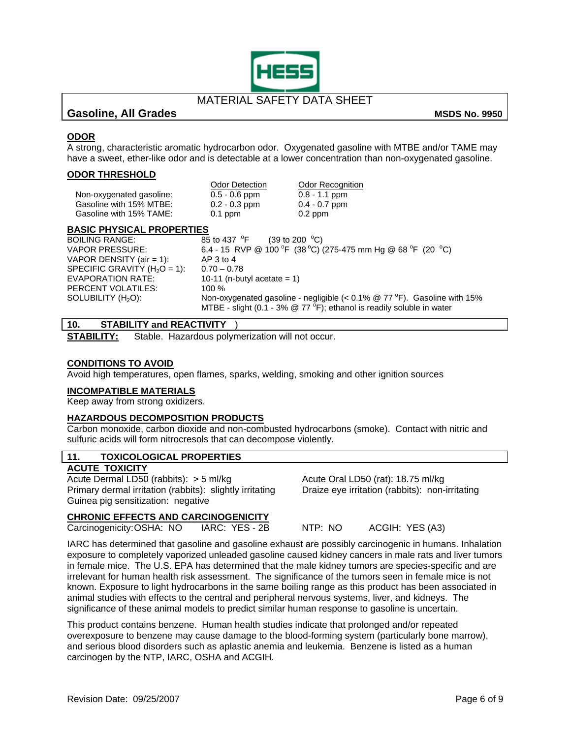

**Gasoline, All Grades MSDS No. 9950** 

#### **ODOR**

A strong, characteristic aromatic hydrocarbon odor. Oxygenated gasoline with MTBE and/or TAME may have a sweet, ether-like odor and is detectable at a lower concentration than non-oxygenated gasoline.

#### **ODOR THRESHOLD**

|                                  | Odor Detection  | <b>Odor Recognition</b> |  |
|----------------------------------|-----------------|-------------------------|--|
| Non-oxygenated gasoline:         | $0.5 - 0.6$ ppm | $0.8 - 1.1$ ppm         |  |
| Gasoline with 15% MTBE:          | $0.2 - 0.3$ ppm | $0.4 - 0.7$ ppm         |  |
| Gasoline with 15% TAME:          | $0.1$ ppm       | $0.2$ ppm               |  |
| <b>DACIC DUVCICAL DDADEDTIEC</b> |                 |                         |  |

# **BASIC PHYSICAL PROPERTIES**<br>BOILING RANGE: 85 to 437 <sup>o</sup>F

BOILING RANGE: VAPOR DENSITY (air = 1): AP 3 to 4<br>SPECIFIC GRAVITY (H<sub>2</sub>O = 1): 0.70 - 0.78 SPECIFIC GRAVITY  $(H_2O = 1)$ :<br>EVAPORATION RATE: PERCENT VOLATILES: 100 %

F  $(39 \text{ to } 200 \text{ °C})$ VAPOR PRESSURE:  $6.4 - 15 \text{ RVP} \ @ \ 100 \degree \text{F} \ (38 \degree \text{C}) \ (275-475 \text{ mm Hg} \ @ \ 68 \degree \text{F} \ (20 \degree \text{C})$ 10-11 (n-butyl acetate  $= 1$ ) SOLUBILITY (H<sub>2</sub>O): Non-oxygenated gasoline - negligible (<  $0.1\%$  @  $77$  °F). Gasoline with 15% MTBE - slight (0.1 - 3%  $@$  77  ${}^{\circ}$ F); ethanol is readily soluble in water

#### **10. STABILITY and REACTIVITY** )

**STABILITY:** Stable. Hazardous polymerization will not occur.

#### **CONDITIONS TO AVOID**

Avoid high temperatures, open flames, sparks, welding, smoking and other ignition sources

#### **INCOMPATIBLE MATERIALS**

Keep away from strong oxidizers.

#### **HAZARDOUS DECOMPOSITION PRODUCTS**

Carbon monoxide, carbon dioxide and non-combusted hydrocarbons (smoke). Contact with nitric and sulfuric acids will form nitrocresols that can decompose violently.

#### **11. TOXICOLOGICAL PROPERTIES**

#### **ACUTE TOXICITY**

 $\overline{\text{Acute Dermal LD50}}$  (rabbits):  $> 5 \text{ ml/kg}$  Acute Oral LD50 (rat): 18.75 ml/kg Primary dermal irritation (rabbits): slightly irritating Draize eye irritation (rabbits): non-irritating Guinea pig sensitization: negative

## **CHRONIC EFFECTS AND CARCINOGENICITY**

Carcinogenicity: OSHA: NO IARC: YES - 2B NTP: NO ACGIH: YES (A3)

IARC has determined that gasoline and gasoline exhaust are possibly carcinogenic in humans. Inhalation exposure to completely vaporized unleaded gasoline caused kidney cancers in male rats and liver tumors in female mice. The U.S. EPA has determined that the male kidney tumors are species-specific and are irrelevant for human health risk assessment. The significance of the tumors seen in female mice is not known. Exposure to light hydrocarbons in the same boiling range as this product has been associated in animal studies with effects to the central and peripheral nervous systems, liver, and kidneys. The significance of these animal models to predict similar human response to gasoline is uncertain.

This product contains benzene. Human health studies indicate that prolonged and/or repeated overexposure to benzene may cause damage to the blood-forming system (particularly bone marrow), and serious blood disorders such as aplastic anemia and leukemia. Benzene is listed as a human carcinogen by the NTP, IARC, OSHA and ACGIH.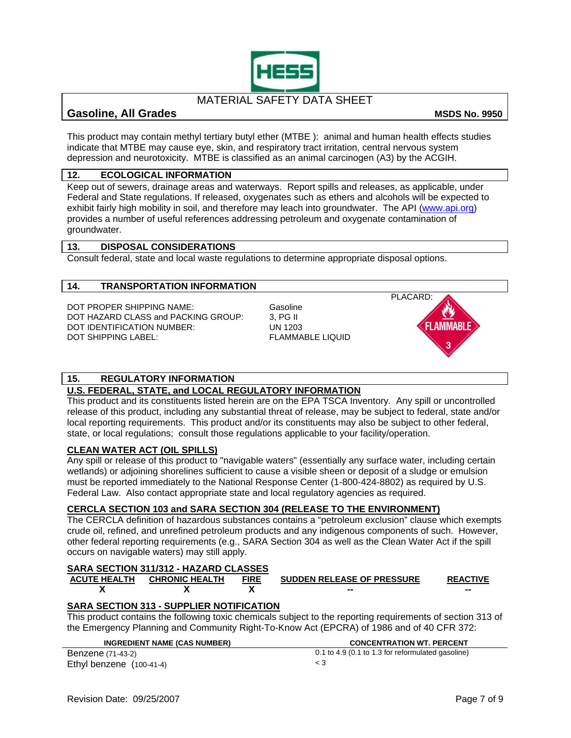

### **Gasoline, All Grades MSDS No. 9950**

This product may contain methyl tertiary butyl ether (MTBE ): animal and human health effects studies indicate that MTBE may cause eye, skin, and respiratory tract irritation, central nervous system depression and neurotoxicity. MTBE is classified as an animal carcinogen (A3) by the ACGIH.

#### **12. ECOLOGICAL INFORMATION**

Keep out of sewers, drainage areas and waterways. Report spills and releases, as applicable, under Federal and State regulations. If released, oxygenates such as ethers and alcohols will be expected to exhibit fairly high mobility in soil, and therefore may leach into groundwater. The API (www.api.org) provides a number of useful references addressing petroleum and oxygenate contamination of groundwater.

#### **13. DISPOSAL CONSIDERATIONS**

Consult federal, state and local waste regulations to determine appropriate disposal options.

#### **14. TRANSPORTATION INFORMATION**

DOT PROPER SHIPPING NAME: Gasoline DOT HAZARD CLASS and PACKING GROUP: 3, PG II DOT IDENTIFICATION NUMBER: UN 1203 DOT SHIPPING LABEL: FLAMMABLE LIQUID



### **15. REGULATORY INFORMATION**

### **U.S. FEDERAL, STATE, and LOCAL REGULATORY INFORMATION**

This product and its constituents listed herein are on the EPA TSCA Inventory. Any spill or uncontrolled release of this product, including any substantial threat of release, may be subject to federal, state and/or local reporting requirements. This product and/or its constituents may also be subject to other federal, state, or local regulations; consult those regulations applicable to your facility/operation.

#### **CLEAN WATER ACT (OIL SPILLS)**

Any spill or release of this product to "navigable waters" (essentially any surface water, including certain wetlands) or adjoining shorelines sufficient to cause a visible sheen or deposit of a sludge or emulsion must be reported immediately to the National Response Center (1-800-424-8802) as required by U.S. Federal Law. Also contact appropriate state and local regulatory agencies as required.

#### **CERCLA SECTION 103 and SARA SECTION 304 (RELEASE TO THE ENVIRONMENT)**

The CERCLA definition of hazardous substances contains a "petroleum exclusion" clause which exempts crude oil, refined, and unrefined petroleum products and any indigenous components of such. However, other federal reporting requirements (e.g., SARA Section 304 as well as the Clean Water Act if the spill occurs on navigable waters) may still apply.

#### **SARA SECTION 311/312 - HAZARD CLASSES**

| <b>ACUTE HEALTH</b> | <b>CHRONIC HEALTH</b> | <b>FIRE</b> | <b>SUDDEN RELEASE OF PRESSURE</b> | <b>REACTIVE</b> |
|---------------------|-----------------------|-------------|-----------------------------------|-----------------|
|                     |                       |             | --                                | --              |

### **SARA SECTION 313 - SUPPLIER NOTIFICATION**

This product contains the following toxic chemicals subject to the reporting requirements of section 313 of the Emergency Planning and Community Right-To-Know Act (EPCRA) of 1986 and of 40 CFR 372:

| INGREDIENT NAME (CAS NUMBER) | <b>CONCENTRATION WT. PERCENT</b>                  |
|------------------------------|---------------------------------------------------|
| <b>Benzene</b> (71-43-2)     | 0.1 to 4.9 (0.1 to 1.3 for reformulated gasoline) |
| Ethyl benzene $(100-41-4)$   |                                                   |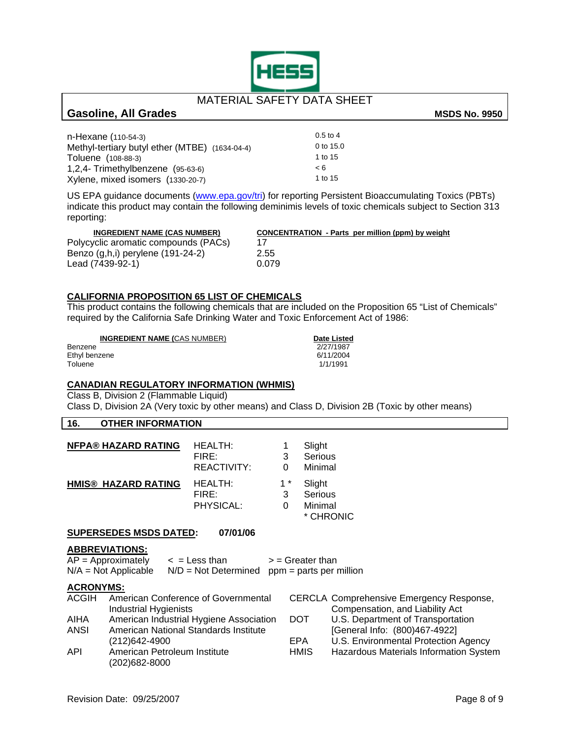

| <b>Gasoline, All Grades</b>                    |            | <b>MSDS No. 9950</b> |
|------------------------------------------------|------------|----------------------|
|                                                |            |                      |
| n-Hexane (110-54-3)                            | $0.5$ to 4 |                      |
| Methyl-tertiary butyl ether (MTBE) (1634-04-4) | 0 to 15.0  |                      |
| Toluene (108-88-3)                             | 1 to 15    |                      |
| 1,2,4- Trimethylbenzene (95-63-6)              | < 6        |                      |
| Xylene, mixed isomers (1330-20-7)              | 1 to 15    |                      |

US EPA guidance documents (www.epa.gov/tri) for reporting Persistent Bioaccumulating Toxics (PBTs) indicate this product may contain the following deminimis levels of toxic chemicals subject to Section 313 reporting:

| <b>INGREDIENT NAME (CAS NUMBER)</b>  | <b>CONCENTRATION - Parts per million (ppm) by weight</b> |
|--------------------------------------|----------------------------------------------------------|
| Polycyclic aromatic compounds (PACs) |                                                          |
| Benzo (g,h,i) perylene (191-24-2)    | 2.55                                                     |
| Lead (7439-92-1)                     | 0.079                                                    |
|                                      |                                                          |

#### **CALIFORNIA PROPOSITION 65 LIST OF CHEMICALS**

This product contains the following chemicals that are included on the Proposition 65 "List of Chemicals" required by the California Safe Drinking Water and Toxic Enforcement Act of 1986:

| <b>INGREDIENT NAME (CAS NUMBER)</b> | <b>Date Listed</b> |
|-------------------------------------|--------------------|
| Benzene                             | 2/27/1987          |
| Ethyl benzene                       | 6/11/2004          |
| Toluene                             | 1/1/1991           |

#### **CANADIAN REGULATORY INFORMATION (WHMIS)**

Class B, Division 2 (Flammable Liquid) Class D, Division 2A (Very toxic by other means) and Class D, Division 2B (Toxic by other means)

#### **16. OTHER INFORMATION**

| <b>NFPA® HAZARD RATING</b> | <b>HEALTH:</b><br>FIRE:<br><b>REACTIVITY:</b> | 3          | Slight<br>Serious<br>Minimal              |
|----------------------------|-----------------------------------------------|------------|-------------------------------------------|
| <b>HMIS® HAZARD RATING</b> | <b>HEALTH:</b><br>FIRE:<br>PHYSICAL:          | $1^*$<br>3 | Slight<br>Serious<br>Minimal<br>* CHRONIC |

#### **SUPERSEDES MSDS DATED: 07/01/06**

#### **ABBREVIATIONS:**

| $AP =$ Approximately   | $\leq$ = Less than | $\epsilon$ = Greater than                      |
|------------------------|--------------------|------------------------------------------------|
| $N/A = Not Applicable$ |                    | $N/D = Not Determined$ ppm = parts per million |

#### **ACRONYMS:**

| AVIVULITUS.         |                                                                                  |             |                                                                                    |
|---------------------|----------------------------------------------------------------------------------|-------------|------------------------------------------------------------------------------------|
| <b>ACGIH</b>        | American Conference of Governmental<br>Industrial Hygienists                     |             | <b>CERCLA Comprehensive Emergency Response,</b><br>Compensation, and Liability Act |
| <b>AIHA</b><br>ANSI | American Industrial Hygiene Association<br>American National Standards Institute | DOT.        | U.S. Department of Transportation<br>[General Info: (800)467-4922]                 |
|                     | (212)642-4900                                                                    | EPA         | U.S. Environmental Protection Agency                                               |
| <b>API</b>          | American Petroleum Institute<br>(202) 682-8000                                   | <b>HMIS</b> | Hazardous Materials Information System                                             |